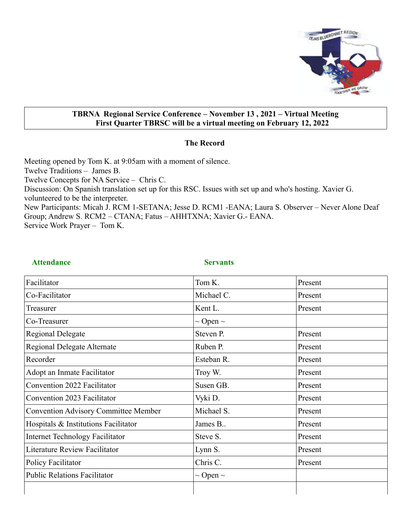

#### **TBRNA Regional Service Conference – November 13 , 2021 – Virtual Meeting First Quarter TBRSC will be a virtual meeting on February 12, 2022**

#### **The Record**

Meeting opened by Tom K. at 9:05am with a moment of silence. Twelve Traditions – James B. Twelve Concepts for NA Service – Chris C. Discussion: On Spanish translation set up for this RSC. Issues with set up and who's hosting. Xavier G. volunteered to be the interpreter. New Participants: Micah J. RCM 1-SETANA; Jesse D. RCM1 -EANA; Laura S. Observer – Never Alone Deaf Group; Andrew S. RCM2 – CTANA; Fatus – AHHTXNA; Xavier G.- EANA. Service Work Prayer – Tom K.

Attendance Servants

| Facilitator                                 | Tom K.             | Present |  |
|---------------------------------------------|--------------------|---------|--|
| Co-Facilitator                              | Michael C.         | Present |  |
| Treasurer                                   | Kent L.            | Present |  |
| Co-Treasurer                                | $\sim$ Open $\sim$ |         |  |
| <b>Regional Delegate</b>                    | Steven P.          | Present |  |
| Regional Delegate Alternate                 | Ruben P.           | Present |  |
| Recorder                                    | Esteban R.         | Present |  |
| Adopt an Inmate Facilitator                 | Troy W.            | Present |  |
| Convention 2022 Facilitator                 | Susen GB.          | Present |  |
| Convention 2023 Facilitator                 | Vyki D.            | Present |  |
| <b>Convention Advisory Committee Member</b> | Michael S.         | Present |  |
| Hospitals & Institutions Facilitator        | James B            | Present |  |
| <b>Internet Technology Facilitator</b>      | Steve S.           | Present |  |
| Literature Review Facilitator               | Lynn S.            | Present |  |
| <b>Policy Facilitator</b>                   | Chris C.           | Present |  |
| <b>Public Relations Facilitator</b>         | $\sim$ Open $\sim$ |         |  |
|                                             |                    |         |  |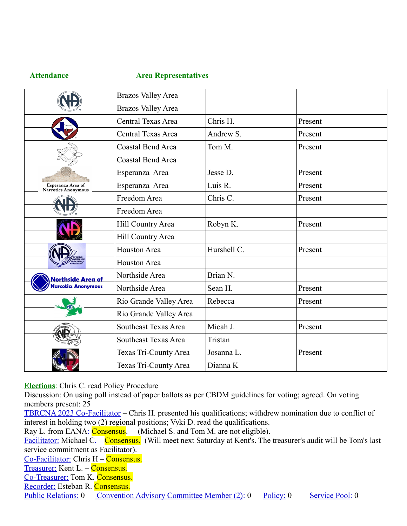#### **Attendance Area Representatives**

| <b>Brazos Valley Area</b>                |                           |             |         |
|------------------------------------------|---------------------------|-------------|---------|
|                                          | <b>Brazos Valley Area</b> |             |         |
|                                          | Central Texas Area        | Chris H.    | Present |
|                                          | Central Texas Area        | Andrew S.   | Present |
|                                          | Coastal Bend Area         | Tom M.      | Present |
|                                          | Coastal Bend Area         |             |         |
|                                          | Esperanza Area            | Jesse D.    | Present |
| Esperanza Area of<br>Narcotics Anonymous | Esperanza Area            | Luis R.     | Present |
|                                          | Freedom Area              | Chris C.    | Present |
|                                          | Freedom Area              |             |         |
|                                          | Hill Country Area         | Robyn K.    | Present |
|                                          | Hill Country Area         |             |         |
|                                          | Houston Area              | Hurshell C. | Present |
|                                          | <b>Houston Area</b>       |             |         |
| Northside Area of                        | Northside Area            | Brian N.    |         |
| <b>Iarcotics Anonymous</b>               | Northside Area            | Sean H.     | Present |
|                                          | Rio Grande Valley Area    | Rebecca     | Present |
|                                          | Rio Grande Valley Area    |             |         |
|                                          | Southeast Texas Area      | Micah J.    | Present |
|                                          | Southeast Texas Area      | Tristan     |         |
|                                          | Texas Tri-County Area     | Josanna L.  | Present |
|                                          | Texas Tri-County Area     | Dianna K    |         |

**Elections**: Chris C. read Policy Procedure

Discussion: On using poll instead of paper ballots as per CBDM guidelines for voting; agreed. On voting members present: 25

TBRCNA 2023 Co-Facilitator – Chris H. presented his qualifications; withdrew nomination due to conflict of interest in holding two (2) regional positions; Vyki D. read the qualifications.

Ray L. from EANA: Consensus. (Michael S. and Tom M. are not eligible).

Facilitator: Michael C. – Consensus. (Will meet next Saturday at Kent's. The treasurer's audit will be Tom's last service commitment as Facilitator).

Co-Facilitator: Chris H – Consensus.

Treasurer: Kent L. – Consensus.

Co-Treasurer: Tom K. Consensus.

Recorder: Esteban R. Consensus.

Public Relations: 0 Convention Advisory Committee Member (2): 0 Policy: 0 Service Pool: 0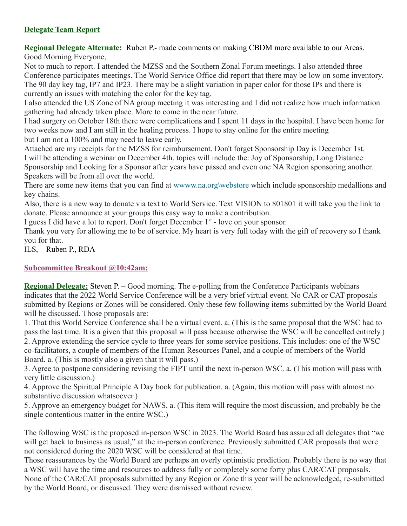## **Delegate Team Report**

**Regional Delegate Alternate:** Ruben P.- made comments on making CBDM more available to our Areas. Good Morning Everyone,

Not to much to report. I attended the MZSS and the Southern Zonal Forum meetings. I also attended three Conference participates meetings. The World Service Office did report that there may be low on some inventory. The 90 day key tag, IP7 and IP23. There may be a slight variation in paper color for those IPs and there is currently an issues with matching the color for the key tag.

I also attended the US Zone of NA group meeting it was interesting and I did not realize how much information gathering had already taken place. More to come in the near future.

I had surgery on October 18th there were complications and I spent 11 days in the hospital. I have been home for two weeks now and I am still in the healing process. I hope to stay online for the entire meeting but I am not a 100% and may need to leave early.

Attached are my receipts for the MZSS for reimbursement. Don't forget Sponsorship Day is December 1st. I will be attending a webinar on December 4th, topics will include the: Joy of Sponsorship, Long Distance Sponsorship and Looking for a Sponsor after years have passed and even one NA Region sponsoring another. Speakers will be from all over the world.

There are some new items that you can find at www.na.org\webstore which include sponsorship medallions and key chains.

Also, there is a new way to donate via text to World Service. Text VISION to 801801 it will take you the link to donate. Please announce at your groups this easy way to make a contribution.

I guess I did have a lot to report. Don't forget December  $1<sup>st</sup>$  - love on your sponsor.

Thank you very for allowing me to be of service. My heart is very full today with the gift of recovery so I thank you for that.

ILS, Ruben P., RDA

## **Subcommittee Breakout @10:42am:**

**Regional Delegate:** Steven P. – Good morning. The e-polling from the Conference Participants webinars indicates that the 2022 World Service Conference will be a very brief virtual event. No CAR or CAT proposals submitted by Regions or Zones will be considered. Only these few following items submitted by the World Board will be discussed. Those proposals are:

1. That this World Service Conference shall be a virtual event. a. (This is the same proposal that the WSC had to pass the last time. It is a given that this proposal will pass because otherwise the WSC will be cancelled entirely.) 2. Approve extending the service cycle to three years for some service positions. This includes: one of the WSC co-facilitators, a couple of members of the Human Resources Panel, and a couple of members of the World Board. a. (This is mostly also a given that it will pass.)

3. Agree to postpone considering revising the FIPT until the next in-person WSC. a. (This motion will pass with very little discussion.)

4. Approve the Spiritual Principle A Day book for publication. a. (Again, this motion will pass with almost no substantive discussion whatsoever.)

5. Approve an emergency budget for NAWS. a. (This item will require the most discussion, and probably be the single contentious matter in the entire WSC.)

The following WSC is the proposed in-person WSC in 2023. The World Board has assured all delegates that "we will get back to business as usual," at the in-person conference. Previously submitted CAR proposals that were not considered during the 2020 WSC will be considered at that time.

Those reassurances by the World Board are perhaps an overly optimistic prediction. Probably there is no way that a WSC will have the time and resources to address fully or completely some forty plus CAR/CAT proposals. None of the CAR/CAT proposals submitted by any Region or Zone this year will be acknowledged, re-submitted by the World Board, or discussed. They were dismissed without review.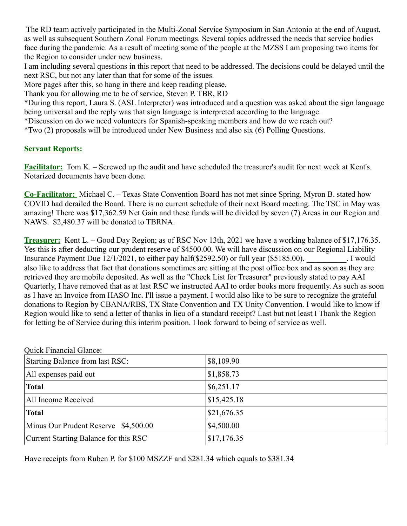The RD team actively participated in the Multi-Zonal Service Symposium in San Antonio at the end of August, as well as subsequent Southern Zonal Forum meetings. Several topics addressed the needs that service bodies face during the pandemic. As a result of meeting some of the people at the MZSS I am proposing two items for the Region to consider under new business.

I am including several questions in this report that need to be addressed. The decisions could be delayed until the next RSC, but not any later than that for some of the issues.

More pages after this, so hang in there and keep reading please.

Thank you for allowing me to be of service, Steven P. TBR, RD

\*During this report, Laura S. (ASL Interpreter) was introduced and a question was asked about the sign language being universal and the reply was that sign language is interpreted according to the language.

\*Discussion on do we need volunteers for Spanish-speaking members and how do we reach out?

\*Two (2) proposals will be introduced under New Business and also six (6) Polling Questions.

## **Servant Reports:**

**Facilitator:** Tom K. – Screwed up the audit and have scheduled the treasurer's audit for next week at Kent's. Notarized documents have been done.

**Co-Facilitator:** Michael C. – Texas State Convention Board has not met since Spring. Myron B. stated how COVID had derailed the Board. There is no current schedule of their next Board meeting. The TSC in May was amazing! There was \$17,362.59 Net Gain and these funds will be divided by seven (7) Areas in our Region and NAWS. \$2,480.37 will be donated to TBRNA.

**Treasurer:** Kent L. – Good Day Region; as of RSC Nov 13th, 2021 we have a working balance of \$17,176.35. Yes this is after deducting our prudent reserve of \$4500.00. We will have discussion on our Regional Liability Insurance Payment Due 12/1/2021, to either pay half(\$2592.50) or full year (\$5185.00). J would also like to address that fact that donations sometimes are sitting at the post office box and as soon as they are retrieved they are mobile deposited. As well as the "Check List for Treasurer" previously stated to pay AAI Quarterly, I have removed that as at last RSC we instructed AAI to order books more frequently. As such as soon as I have an Invoice from HASO Inc. I'll issue a payment. I would also like to be sure to recognize the grateful donations to Region by CBANA/RBS, TX State Convention and TX Unity Convention. I would like to know if Region would like to send a letter of thanks in lieu of a standard receipt? Last but not least I Thank the Region for letting be of Service during this interim position. I look forward to being of service as well.

| <b>Quick Financial Glance:</b>        |             |  |
|---------------------------------------|-------------|--|
| Starting Balance from last RSC:       | \$8,109.90  |  |
| All expenses paid out                 | \$1,858.73  |  |
| <b>Total</b>                          | \$6,251.17  |  |
| All Income Received                   | \$15,425.18 |  |
| <b>Total</b>                          | \$21,676.35 |  |
| Minus Our Prudent Reserve \$4,500.00  | \$4,500.00  |  |
| Current Starting Balance for this RSC | \$17,176.35 |  |

Have receipts from Ruben P. for \$100 MSZZF and \$281.34 which equals to \$381.34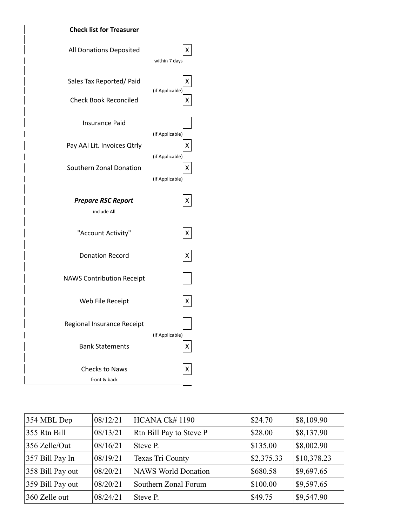



| 354 MBL Dep      | 08/12/21 | HCANA Ck# 1190             | \$24.70    | \$8,109.90           |
|------------------|----------|----------------------------|------------|----------------------|
| 355 Rtn Bill     | 08/13/21 | Rtn Bill Pay to Steve P    | \$28.00    | \$8,137.90           |
| 356 Zelle/Out    | 08/16/21 | Steve P.                   | \$135.00   | \$8,002.90           |
| 357 Bill Pay In  | 08/19/21 | Texas Tri County           | \$2,375.33 | \$10,378.23          |
| 358 Bill Pay out | 08/20/21 | <b>NAWS World Donation</b> | \$680.58   | \$9,697.65           |
| 359 Bill Pay out | 08/20/21 | Southern Zonal Forum       | \$100.00   | $\frac{1}{9.597.65}$ |
| 360 Zelle out    | 08/24/21 | Steve P.                   | \$49.75    | \$9,547.90           |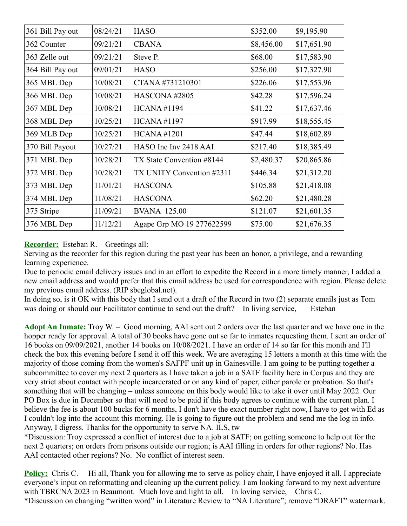| 361 Bill Pay out | 08/24/21 | <b>HASO</b>               | \$352.00   | \$9,195.90  |
|------------------|----------|---------------------------|------------|-------------|
| 362 Counter      | 09/21/21 | <b>CBANA</b>              | \$8,456.00 | \$17,651.90 |
| 363 Zelle out    | 09/21/21 | Steve P.                  | \$68.00    | \$17,583.90 |
| 364 Bill Pay out | 09/01/21 | <b>HASO</b>               | \$256.00   | \$17,327.90 |
| 365 MBL Dep      | 10/08/21 | CTANA#731210301           | \$226.06   | \$17,553.96 |
| 366 MBL Dep      | 10/08/21 | HASCONA#2805              | \$42.28    | \$17,596.24 |
| 367 MBL Dep      | 10/08/21 | <b>HCANA#1194</b>         | \$41.22    | \$17,637.46 |
| 368 MBL Dep      | 10/25/21 | <b>HCANA#1197</b>         | \$917.99   | \$18,555.45 |
| 369 MLB Dep      | 10/25/21 | <b>HCANA#1201</b>         | \$47.44    | \$18,602.89 |
| 370 Bill Payout  | 10/27/21 | HASO Inc Inv 2418 AAI     | \$217.40   | \$18,385.49 |
| 371 MBL Dep      | 10/28/21 | TX State Convention #8144 | \$2,480.37 | \$20,865.86 |
| 372 MBL Dep      | 10/28/21 | TX UNITY Convention #2311 | \$446.34   | \$21,312.20 |
| 373 MBL Dep      | 11/01/21 | <b>HASCONA</b>            | \$105.88   | \$21,418.08 |
| 374 MBL Dep      | 11/08/21 | <b>HASCONA</b>            | \$62.20    | \$21,480.28 |
| 375 Stripe       | 11/09/21 | <b>BVANA 125.00</b>       | \$121.07   | \$21,601.35 |
| 376 MBL Dep      | 11/12/21 | Agape Grp MO 19 277622599 | \$75.00    | \$21,676.35 |

## **Recorder:** Esteban R. – Greetings all:

Serving as the recorder for this region during the past year has been an honor, a privilege, and a rewarding learning experience.

Due to periodic email delivery issues and in an effort to expedite the Record in a more timely manner, I added a new email address and would prefer that this email address be used for correspondence with region. Please delete my previous email address. (RIP sbcglobal.net).

In doing so, is it OK with this body that I send out a draft of the Record in two (2) separate emails just as Tom was doing or should our Facilitator continue to send out the draft? In living service, Esteban

**Adopt An Inmate:** Troy W. – Good morning, AAI sent out 2 orders over the last quarter and we have one in the hopper ready for approval. A total of 30 books have gone out so far to inmates requesting them. I sent an order of 16 books on 09/09/2021, another 14 books on 10/08/2021. I have an order of 14 so far for this month and I'll check the box this evening before I send it off this week. We are averaging 15 letters a month at this time with the majority of those coming from the women's SAFPF unit up in Gainesville. I am going to be putting together a subcommittee to cover my next 2 quarters as I have taken a job in a SATF facility here in Corpus and they are very strict about contact with people incarcerated or on any kind of paper, either parole or probation. So that's something that will be changing – unless someone on this body would like to take it over until May 2022. Our PO Box is due in December so that will need to be paid if this body agrees to continue with the current plan. I believe the fee is about 100 bucks for 6 months, I don't have the exact number right now, I have to get with Ed as I couldn't log into the account this morning. He is going to figure out the problem and send me the log in info. Anyway, I digress. Thanks for the opportunity to serve NA. ILS, tw

\*Discussion: Troy expressed a conflict of interest due to a job at SATF; on getting someone to help out for the next 2 quarters; on orders from prisons outside our region; is AAI filling in orders for other regions? No. Has AAI contacted other regions? No. No conflict of interest seen.

**Policy:** Chris C. – Hi all, Thank you for allowing me to serve as policy chair, I have enjoyed it all. I appreciate everyone's input on reformatting and cleaning up the current policy. I am looking forward to my next adventure with TBRCNA 2023 in Beaumont. Much love and light to all. In loving service, Chris C. \*Discussion on changing "written word" in Literature Review to "NA Literature"; remove "DRAFT" watermark.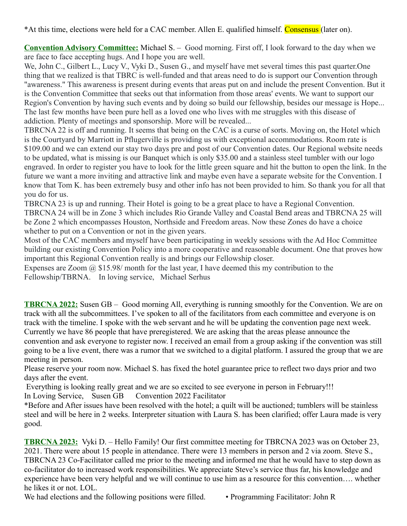\*At this time, elections were held for a CAC member. Allen E. qualified himself. Consensus (later on).

**Convention Advisory Committee:** Michael S. – Good morning. First off, I look forward to the day when we are face to face accepting hugs. And I hope you are well.

We, John C., Gilbert L., Lucy V., Vyki D., Susen G., and myself have met several times this past quarter.One thing that we realized is that TBRC is well-funded and that areas need to do is support our Convention through "awareness." This awareness is present during events that areas put on and include the present Convention. But it is the Convention Committee that seeks out that information from those areas' events. We want to support our Region's Convention by having such events and by doing so build our fellowship, besides our message is Hope... The last few months have been pure hell as a loved one who lives with me struggles with this disease of addiction. Plenty of meetings and sponsorship. More will be revealed...

TBRCNA 22 is off and running. It seems that being on the CAC is a curse of sorts. Moving on, the Hotel which is the Courtyard by Marriott in Pflugerville is providing us with exceptional accommodations. Room rate is \$109.00 and we can extend our stay two days pre and post of our Convention dates. Our Regional website needs to be updated, what is missing is our Banquet which is only \$35.00 and a stainless steel tumbler with our logo engraved. In order to register you have to look for the little green square and hit the button to open the link. In the future we want a more inviting and attractive link and maybe even have a separate website for the Convention. I know that Tom K. has been extremely busy and other info has not been provided to him. So thank you for all that you do for us.

TBRCNA 23 is up and running. Their Hotel is going to be a great place to have a Regional Convention. TBRCNA 24 will be in Zone 3 which includes Rio Grande Valley and Coastal Bend areas and TBRCNA 25 will be Zone 2 which encompasses Houston, Northside and Freedom areas. Now these Zones do have a choice whether to put on a Convention or not in the given years.

Most of the CAC members and myself have been participating in weekly sessions with the Ad Hoc Committee building our existing Convention Policy into a more cooperative and reasonable document. One that proves how important this Regional Convention really is and brings our Fellowship closer.

Expenses are Zoom  $\omega$  \$15.98/ month for the last year. I have deemed this my contribution to the Fellowship/TBRNA. In loving service, Michael Serhus

**TBRCNA 2022:** Susen GB – Good morning All, everything is running smoothly for the Convention. We are on track with all the subcommittees. I've spoken to all of the facilitators from each committee and everyone is on track with the timeline. I spoke with the web servant and he will be updating the convention page next week. Currently we have 86 people that have preregistered. We are asking that the areas please announce the convention and ask everyone to register now. I received an email from a group asking if the convention was still going to be a live event, there was a rumor that we switched to a digital platform. I assured the group that we are meeting in person.

Please reserve your room now. Michael S. has fixed the hotel guarantee price to reflect two days prior and two days after the event.

 Everything is looking really great and we are so excited to see everyone in person in February!!! In Loving Service, Susen GB Convention 2022 Facilitator

\*Before and After issues have been resolved with the hotel; a quilt will be auctioned; tumblers will be stainless steel and will be here in 2 weeks. Interpreter situation with Laura S. has been clarified; offer Laura made is very good.

**TBRCNA 2023:** Vyki D. – Hello Family! Our first committee meeting for TBRCNA 2023 was on October 23, 2021. There were about 15 people in attendance. There were 13 members in person and 2 via zoom. Steve S., TBRCNA 23 Co-Facilitator called me prior to the meeting and informed me that he would have to step down as co-facilitator do to increased work responsibilities. We appreciate Steve's service thus far, his knowledge and experience have been very helpful and we will continue to use him as a resource for this convention…. whether he likes it or not. LOL.

We had elections and the following positions were filled. • Programming Facilitator: John R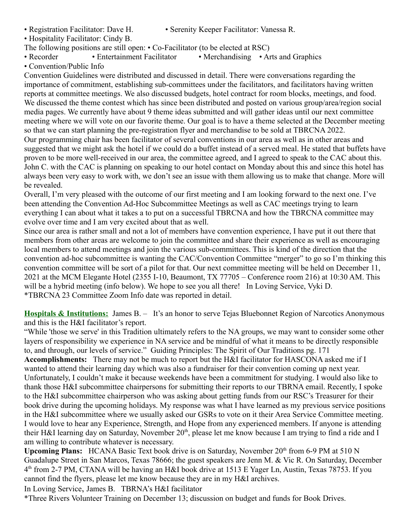- 
- Registration Facilitator: Dave H. Serenity Keeper Facilitator: Vanessa R.
- Hospitality Facilitator: Cindy B.
- The following positions are still open: Co-Facilitator (to be elected at RSC)
- Recorder Entertainment Facilitator Merchandising Arts and Graphics
- Convention/Public Info

Convention Guidelines were distributed and discussed in detail. There were conversations regarding the importance of commitment, establishing sub-committees under the facilitators, and facilitators having written reports at committee meetings. We also discussed budgets, hotel contract for room blocks, meetings, and food. We discussed the theme contest which has since been distributed and posted on various group/area/region social media pages. We currently have about 9 theme ideas submitted and will gather ideas until our next committee meeting where we will vote on our favorite theme. Our goal is to have a theme selected at the December meeting so that we can start planning the pre-registration flyer and merchandise to be sold at TBRCNA 2022. Our programming chair has been facilitator of several conventions in our area as well as in other areas and suggested that we might ask the hotel if we could do a buffet instead of a served meal. He stated that buffets have proven to be more well-received in our area, the committee agreed, and I agreed to speak to the CAC about this. John C. with the CAC is planning on speaking to our hotel contact on Monday about this and since this hotel has always been very easy to work with, we don't see an issue with them allowing us to make that change. More will be revealed.

Overall, I'm very pleased with the outcome of our first meeting and I am looking forward to the next one. I've been attending the Convention Ad-Hoc Subcommittee Meetings as well as CAC meetings trying to learn everything I can about what it takes a to put on a successful TBRCNA and how the TBRCNA committee may evolve over time and I am very excited about that as well.

Since our area is rather small and not a lot of members have convention experience, I have put it out there that members from other areas are welcome to join the committee and share their experience as well as encouraging local members to attend meetings and join the various sub-committees. This is kind of the direction that the convention ad-hoc subcommittee is wanting the CAC/Convention Committee "merger" to go so I'm thinking this convention committee will be sort of a pilot for that. Our next committee meeting will be held on December 11, 2021 at the MCM Elegante Hotel (2355 I-10, Beaumont, TX 77705 – Conference room 216) at 10:30 AM. This will be a hybrid meeting (info below). We hope to see you all there! In Loving Service, Vyki D. \*TBRCNA 23 Committee Zoom Info date was reported in detail.

**Hospitals & Institutions:** James B. – It's an honor to serve Tejas Bluebonnet Region of Narcotics Anonymous and this is the H&I facilitator's report.

"While 'those we serve' in this Tradition ultimately refers to the NA groups, we may want to consider some other layers of responsibility we experience in NA service and be mindful of what it means to be directly responsible to, and through, our levels of service." Guiding Principles: The Spirit of Our Traditions pg. 171

**Accomplishments:** There may not be much to report but the H&I facilitator for HASCONA asked me if I wanted to attend their learning day which was also a fundraiser for their convention coming up next year. Unfortunately, I couldn't make it because weekends have been a commitment for studying. I would also like to thank those H&I subcommittee chairpersons for submitting their reports to our TBRNA email. Recently, I spoke to the H&I subcommittee chairperson who was asking about getting funds from our RSC's Treasurer for their book drive during the upcoming holidays. My response was what I have learned as my previous service positions in the H&I subcommittee where we usually asked our GSRs to vote on it their Area Service Committee meeting. I would love to hear any Experience, Strength, and Hope from any experienced members. If anyone is attending their H&I learning day on Saturday, November 20<sup>th</sup>, please let me know because I am trying to find a ride and I am willing to contribute whatever is necessary.

**Upcoming Plans:** HCANA Basic Text book drive is on Saturday, November 20<sup>th</sup> from 6-9 PM at 510 N Guadalupe Street in San Marcos, Texas 78666; the guest speakers are Jenn M. & Vic R. On Saturday, December 4 th from 2-7 PM, CTANA will be having an H&I book drive at 1513 E Yager Ln, Austin, Texas 78753. If you cannot find the flyers, please let me know because they are in my H&I archives.

In Loving Service, James B. TBRNA's H&I facilitator

\*Three Rivers Volunteer Training on December 13; discussion on budget and funds for Book Drives.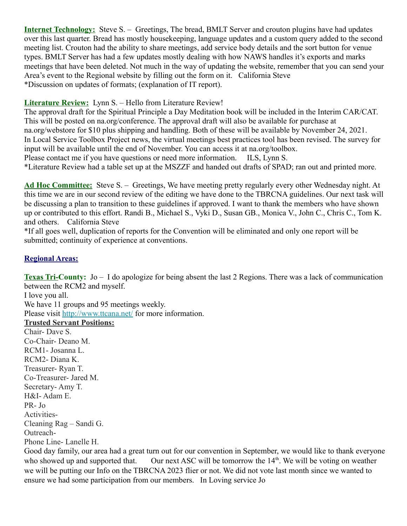**Internet Technology:** Steve S. – Greetings, The bread, BMLT Server and crouton plugins have had updates over this last quarter. Bread has mostly housekeeping, language updates and a custom query added to the second meeting list. Crouton had the ability to share meetings, add service body details and the sort button for venue types. BMLT Server has had a few updates mostly dealing with how NAWS handles it's exports and marks meetings that have been deleted. Not much in the way of updating the website, remember that you can send your Area's event to the Regional website by filling out the form on it. California Steve \*Discussion on updates of formats; (explanation of IT report).

#### **Literature Review:** Lynn S. – Hello from Literature Review!

The approval draft for the Spiritual Principle a Day Meditation book will be included in the Interim CAR/CAT. This will be posted on na.org/conference. The approval draft will also be available for purchase at na.org/webstore for \$10 plus shipping and handling. Both of these will be available by November 24, 2021. In Local Service Toolbox Project news, the virtual meetings best practices tool has been revised. The survey for input will be available until the end of November. You can access it at na.org/toolbox. Please contact me if you have questions or need more information. ILS, Lynn S.

\*Literature Review had a table set up at the MSZZF and handed out drafts of SPAD; ran out and printed more.

**Ad Hoc Committee:** Steve S. – Greetings, We have meeting pretty regularly every other Wednesday night. At this time we are in our second review of the editing we have done to the TBRCNA guidelines. Our next task will be discussing a plan to transition to these guidelines if approved. I want to thank the members who have shown up or contributed to this effort. Randi B., Michael S., Vyki D., Susan GB., Monica V., John C., Chris C., Tom K. and others. California Steve

\*If all goes well, duplication of reports for the Convention will be eliminated and only one report will be submitted; continuity of experience at conventions.

## **Regional Areas:**

**Texas Tri-County:** Jo – I do apologize for being absent the last 2 Regions. There was a lack of communication between the RCM2 and myself.

I love you all. We have 11 groups and 95 meetings weekly. Please visit<http://www.ttcana.net/>for more information. **Trusted Servant Positions:** Chair- Dave S. Co-Chair- Deano M. RCM1- Josanna L. RCM2- Diana K. Treasurer- Ryan T. Co-Treasurer- Jared M. Secretary- Amy T. H&I- Adam E. PR- Jo Activities-Cleaning Rag – Sandi G. Outreach-Phone Line- Lanelle H.

Good day family, our area had a great turn out for our convention in September, we would like to thank everyone who showed up and supported that. Our next ASC will be tomorrow the  $14<sup>th</sup>$ . We will be voting on weather we will be putting our Info on the TBRCNA 2023 flier or not. We did not vote last month since we wanted to ensure we had some participation from our members. In Loving service Jo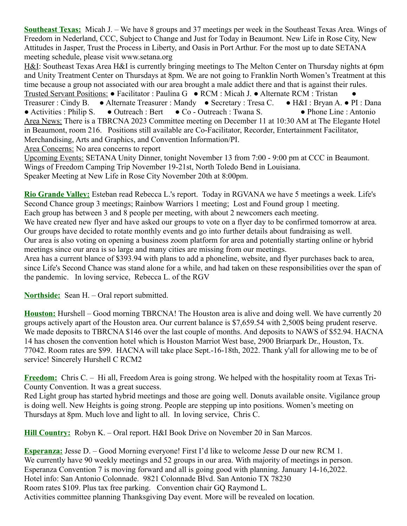**Southeast Texas:** Micah J. – We have 8 groups and 37 meetings per week in the Southeast Texas Area. Wings of Freedom in Nederland, CCC, Subject to Change and Just for Today in Beaumont. New Life in Rose City, New Attitudes in Jasper, Trust the Process in Liberty, and Oasis in Port Arthur. For the most up to date SETANA meeting schedule, please visit www.setana.org

H&I: Southeast Texas Area H&I is currently bringing meetings to The Melton Center on Thursday nights at 6pm and Unity Treatment Center on Thursdays at 8pm. We are not going to Franklin North Women's Treatment at this time because a group not associated with our area brought a male addict there and that is against their rules. Trusted Servant Positions: ● Facilitator : Paulina G ● RCM : Micah J. ● Alternate RCM : Tristan ● Treasurer : Cindy B. ● Alternate Treasurer : Mandy ● Secretary : Tresa C. ● H&I : Bryan A. ● PI : Dana ● Activities : Philip S. ● Outreach : Bert ● Co - Outreach : Twana S. ● Phone Line : Antonio Area News: There is a TBRCNA 2023 Committee meeting on December 11 at 10:30 AM at The Elegante Hotel in Beaumont, room 216. Positions still available are Co-Facilitator, Recorder, Entertainment Facilitator, Merchandising, Arts and Graphics, and Convention Information/PI.

Area Concerns: No area concerns to report

Upcoming Events: SETANA Unity Dinner, tonight November 13 from 7:00 - 9:00 pm at CCC in Beaumont. Wings of Freedom Camping Trip November 19-21st, North Toledo Bend in Louisiana. Speaker Meeting at New Life in Rose City November 20th at 8:00pm.

**Rio Grande Valley:** Esteban read Rebecca L.'s report. Today in RGVANA we have 5 meetings a week. Life's Second Chance group 3 meetings; Rainbow Warriors 1 meeting; Lost and Found group 1 meeting. Each group has between 3 and 8 people per meeting, with about 2 newcomers each meeting. We have created new flyer and have asked our groups to vote on a flyer day to be confirmed tomorrow at area. Our groups have decided to rotate monthly events and go into further details about fundraising as well. Our area is also voting on opening a business zoom platform for area and potentially starting online or hybrid meetings since our area is so large and many cities are missing from our meetings. Area has a current blance of \$393.94 with plans to add a phoneline, website, and flyer purchases back to area, since Life's Second Chance was stand alone for a while, and had taken on these responsibilities over the span of the pandemic. In loving service, Rebecca L. of the RGV

**Northside:** Sean H. – Oral report submitted.

**Houston:** Hurshell – Good morning TBRCNA! The Houston area is alive and doing well. We have currently 20 groups actively apart of the Houston area. Our current balance is \$7,659.54 with 2,500\$ being prudent reserve. We made deposits to TBRCNA \$146 over the last couple of months. And deposits to NAWS of \$52.94. HACNA 14 has chosen the convention hotel which is Houston Marriot West base, 2900 Briarpark Dr., Houston, Tx. 77042. Room rates are \$99. HACNA will take place Sept.-16-18th, 2022. Thank y'all for allowing me to be of service! Sincerely Hurshell C RCM2

**Freedom:** Chris C. – Hi all, Freedom Area is going strong. We helped with the hospitality room at Texas Tri-County Convention. It was a great success.

Red Light group has started hybrid meetings and those are going well. Donuts available onsite. Vigilance group is doing well. New Heights is going strong. People are stepping up into positions. Women's meeting on Thursdays at 8pm. Much love and light to all. In loving service, Chris C.

**Hill Country:** Robyn K. – Oral report. H&I Book Drive on November 20 in San Marcos.

**Esperanza:** Jesse D. – Good Morning everyone! First I'd like to welcome Jesse D our new RCM 1. We currently have 90 weekly meetings and 52 groups in our area. With majority of meetings in person. Esperanza Convention 7 is moving forward and all is going good with planning. January 14-16,2022. Hotel info: San Antonio Colonnade. 9821 Colonnade Blvd. San Antonio TX 78230 Room rates \$109. Plus tax free parking. Convention chair GQ Raymond L. Activities committee planning Thanksgiving Day event. More will be revealed on location.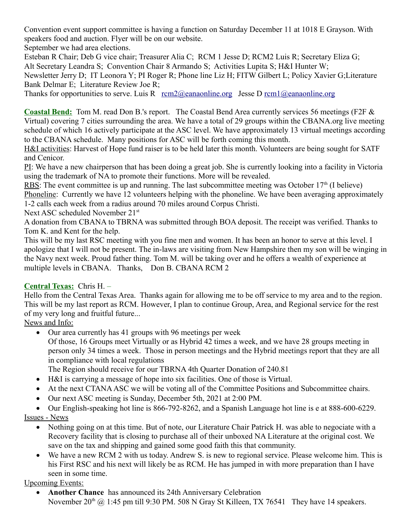Convention event support committee is having a function on Saturday December 11 at 1018 E Grayson. With speakers food and auction. Flyer will be on our website.

September we had area elections.

Esteban R Chair; Deb G vice chair; Treasurer Alia C; RCM 1 Jesse D; RCM2 Luis R; Secretary Eliza G; Alt Secretary Leandra S; Convention Chair 8 Armando S; Activities Lupita S; H&I Hunter W; Newsletter Jerry D; IT Leonora Y; PI Roger R; Phone line Liz H; FITW Gilbert L; Policy Xavier G;Literature Bank Delmar E; Literature Review Joe R;

Thanks for opportunities to serve. Luis R  $\text{rem2}$  (*Q*eanaonline.org Jesse D rcm1 (*Q*) eanaonline.org

**Coastal Bend:** Tom M. read Don B.'s report. The Coastal Bend Area currently services 56 meetings (F2F & Virtual) covering 7 cities surrounding the area. We have a total of 29 groups within the CBANA.org live meeting schedule of which 16 actively participate at the ASC level. We have approximately 13 virtual meetings according to the CBANA schedule. Many positions for ASC will be forth coming this month.

H&I activities: Harvest of Hope fund raiser is to be held later this month. Volunteers are being sought for SATF and Cenicor.

PI: We have a new chairperson that has been doing a great job. She is currently looking into a facility in Victoria using the trademark of NA to promote their functions. More will be revealed.

RBS: The event committee is up and running. The last subcommittee meeting was October  $17<sup>th</sup>$  (I believe)

Phoneline: Currently we have 12 volunteers helping with the phoneline. We have been averaging approximately 1-2 calls each week from a radius around 70 miles around Corpus Christi.

Next ASC scheduled November 21<sup>st</sup>

A donation from CBANA to TBRNA was submitted through BOA deposit. The receipt was verified. Thanks to Tom K. and Kent for the help.

This will be my last RSC meeting with you fine men and women. It has been an honor to serve at this level. I apologize that I will not be present. The in-laws are visiting from New Hampshire then my son will be winging in the Navy next week. Proud father thing. Tom M. will be taking over and he offers a wealth of experience at multiple levels in CBANA. Thanks, Don B. CBANA RCM 2

# **Central Texas:** Chris H. –

Hello from the Central Texas Area. Thanks again for allowing me to be off service to my area and to the region. This will be my last report as RCM. However, I plan to continue Group, Area, and Regional service for the rest of my very long and fruitful future...

News and Info:

Our area currently has 41 groups with 96 meetings per week

Of those, 16 Groups meet Virtually or as Hybrid 42 times a week, and we have 28 groups meeting in person only 34 times a week. Those in person meetings and the Hybrid meetings report that they are all in compliance with local regulations

The Region should receive for our TBRNA 4th Quarter Donation of 240.81

- H&I is carrying a message of hope into six facilities. One of those is Virtual.
- At the next CTANA ASC we will be voting all of the Committee Positions and Subcommittee chairs.
- Our next ASC meeting is Sunday, December 5th, 2021 at 2:00 PM.

 Our English-speaking hot line is 866-792-8262, and a Spanish Language hot line is e at 888-600-6229. Issues - News

- Nothing going on at this time. But of note, our Literature Chair Patrick H. was able to negociate with a Recovery facility that is closing to purchase all of their unboxed NA Literature at the original cost. We save on the tax and shipping and gained some good faith this that community.
- We have a new RCM 2 with us today. Andrew S. is new to regional service. Please welcome him. This is his First RSC and his next will likely be as RCM. He has jumped in with more preparation than I have seen in some time.

# Upcoming Events:

**• Another Chance** has announced its 24th Anniversary Celebration November  $20^{th}$  @ 1:45 pm till 9:30 PM. 508 N Gray St Killeen, TX 76541 They have 14 speakers.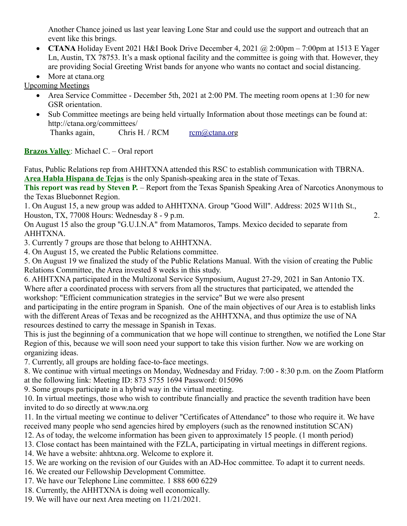Another Chance joined us last year leaving Lone Star and could use the support and outreach that an event like this brings.

- **CTANA** Holiday Event 2021 H&I Book Drive December 4, 2021 @ 2:00pm 7:00pm at 1513 E Yager Ln, Austin, TX 78753. It's a mask optional facility and the committee is going with that. However, they are providing Social Greeting Wrist bands for anyone who wants no contact and social distancing.
- More at ctana.org

Upcoming Meetings

- Area Service Committee December 5th, 2021 at 2:00 PM. The meeting room opens at 1:30 for new GSR orientation.
- Sub Committee meetings are being held virtually Information about those meetings can be found at: http://ctana.org/committees/

Thanks again, Chris H. / RCM  $\frac{rem(\partial)ctan(\partial) \cdot r}{r}$ 

**Brazos Valley**: Michael C. – Oral report

Fatus, Public Relations rep from AHHTXNA attended this RSC to establish communication with TBRNA. **Area Habla Hispana de Tejas** is the only Spanish-speaking area in the state of Texas.

**This report was read by Steven P.** – Report from the Texas Spanish Speaking Area of Narcotics Anonymous to the Texas Bluebonnet Region.

1. On August 15, a new group was added to AHHTXNA. Group "Good Will". Address: 2025 W11th St., Houston, TX, 77008 Hours: Wednesday 8 - 9 p.m. 2.

On August 15 also the group "G.U.I.N.A" from Matamoros, Tamps. Mexico decided to separate from AHHTXNA.

3. Currently 7 groups are those that belong to AHHTXNA.

4. On August 15, we created the Public Relations committee.

5. On August 19 we finalized the study of the Public Relations Manual. With the vision of creating the Public Relations Committee, the Area invested 8 weeks in this study.

6. AHHTXNA participated in the Multizonal Service Symposium, August 27-29, 2021 in San Antonio TX. Where after a coordinated process with servers from all the structures that participated, we attended the workshop: "Efficient communication strategies in the service" But we were also present

and participating in the entire program in Spanish. One of the main objectives of our Area is to establish links with the different Areas of Texas and be recognized as the AHHTXNA, and thus optimize the use of NA resources destined to carry the message in Spanish in Texas.

This is just the beginning of a communication that we hope will continue to strengthen, we notified the Lone Star Region of this, because we will soon need your support to take this vision further. Now we are working on organizing ideas.

7. Currently, all groups are holding face-to-face meetings.

8. We continue with virtual meetings on Monday, Wednesday and Friday. 7:00 - 8:30 p.m. on the Zoom Platform at the following link: Meeting ID: 873 5755 1694 Password: 015096

9. Some groups participate in a hybrid way in the virtual meeting.

10. In virtual meetings, those who wish to contribute financially and practice the seventh tradition have been invited to do so directly at www.na.org

11. In the virtual meeting we continue to deliver "Certificates of Attendance" to those who require it. We have received many people who send agencies hired by employers (such as the renowned institution SCAN)

12. As of today, the welcome information has been given to approximately 15 people. (1 month period)

- 13. Close contact has been maintained with the FZLA, participating in virtual meetings in different regions.
- 14. We have a website: ahhtxna.org. Welcome to explore it.
- 15. We are working on the revision of our Guides with an AD-Hoc committee. To adapt it to current needs.
- 16. We created our Fellowship Development Committee.
- 17. We have our Telephone Line committee. 1 888 600 6229
- 18. Currently, the AHHTXNA is doing well economically.
- 19. We will have our next Area meeting on 11/21/2021.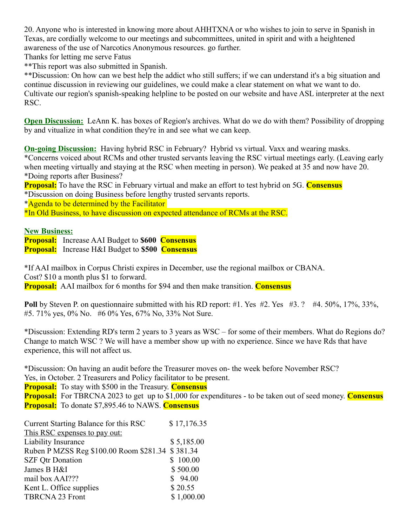20. Anyone who is interested in knowing more about AHHTXNA or who wishes to join to serve in Spanish in Texas, are cordially welcome to our meetings and subcommittees, united in spirit and with a heightened awareness of the use of Narcotics Anonymous resources. go further.

Thanks for letting me serve Fatus

\*\*This report was also submitted in Spanish.

\*\*Discussion: On how can we best help the addict who still suffers; if we can understand it's a big situation and continue discussion in reviewing our guidelines, we could make a clear statement on what we want to do. Cultivate our region's spanish-speaking helpline to be posted on our website and have ASL interpreter at the next RSC.

**Open Discussion:** LeAnn K, has boxes of Region's archives. What do we do with them? Possibility of dropping by and vitualize in what condition they're in and see what we can keep.

**On-going Discussion:** Having hybrid RSC in February? Hybrid vs virtual. Vaxx and wearing masks.

\*Concerns voiced about RCMs and other trusted servants leaving the RSC virtual meetings early. (Leaving early when meeting virtually and staying at the RSC when meeting in person). We peaked at 35 and now have 20. \*Doing reports after Business?

**Proposal:** To have the RSC in February virtual and make an effort to test hybrid on 5G. **Consensus** \*Discussion on doing Business before lengthy trusted servants reports.

\*Agenda to be determined by the Facilitator

\*In Old Business, to have discussion on expected attendance of RCMs at the RSC.

**New Business:**

**Proposal:** Increase AAI Budget to **\$600 Consensus Proposal:** Increase H&I Budget to **\$500 Consensus**

\*If AAI mailbox in Corpus Christi expires in December, use the regional mailbox or CBANA. Cost? \$10 a month plus \$1 to forward.

**Proposal:** AAI mailbox for 6 months for \$94 and then make transition. **Consensus**

**Poll** by Steven P. on questionnaire submitted with his RD report: #1. Yes #2. Yes #3. ? #4. 50%, 17%, 33%, #5. 71% yes, 0% No. #6 0% Yes, 67% No, 33% Not Sure.

\*Discussion: Extending RD's term 2 years to 3 years as WSC – for some of their members. What do Regions do? Change to match WSC ? We will have a member show up with no experience. Since we have Rds that have experience, this will not affect us.

\*Discussion: On having an audit before the Treasurer moves on- the week before November RSC? Yes, in October. 2 Treasurers and Policy facilitator to be present.

**Proposal:** To stay with \$500 in the Treasury. **Consensus**

**Proposal:** For TBRCNA 2023 to get up to \$1,000 for expenditures - to be taken out of seed money. **Consensus Proposal:** To donate \$7,895.46 to NAWS. **Consensus**

| Current Starting Balance for this RSC            | \$17,176.35 |
|--------------------------------------------------|-------------|
| This RSC expenses to pay out:                    |             |
| Liability Insurance                              | \$5,185.00  |
| Ruben P MZSS Reg \$100.00 Room \$281.34 \$381.34 |             |
| <b>SZF Qtr Donation</b>                          | \$100.00    |
| James B H&I                                      | \$500.00    |
| mail box AAI???                                  | \$94.00     |
| Kent L. Office supplies                          | \$20.55     |
| <b>TBRCNA 23 Front</b>                           | \$1,000.00  |